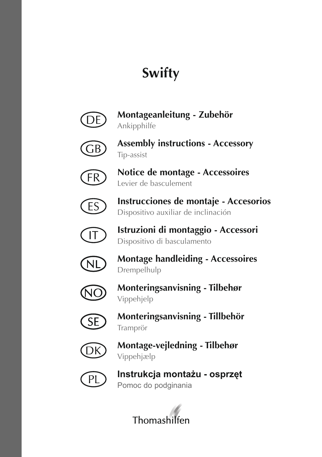# **Swifty**



**Montageanleitung - Zubehör** Ankipphilfe



**Assembly instructions - Accessory** Tip-assist



**Notice de montage - Accessoires** Levier de basculement



**Instrucciones de montaje - Accesorios** Dispositivo auxiliar de inclinación



**Istruzioni di montaggio - Accessori** Dispositivo di basculamento



**Montage handleiding - Accessoires** Drempelhulp



**Monteringsanvisning - Tilbehør**  Vippehjelp



**Monteringsanvisning - Tillbehör**  Tramprör



**Montage-vejledning - Tilbehør**  Vippehjælp



**Instrukcja montażu - osprzęt** Pomoc do podginania

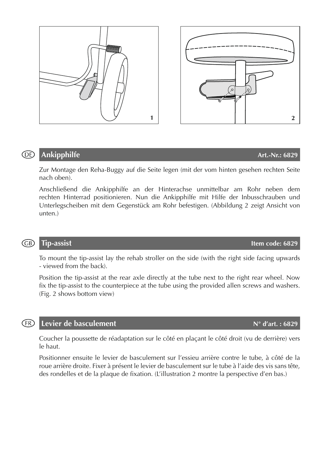

Anschließend die Ankipphilfe an der Hinterachse unmittelbar am Rohr neben dem rechten Hinterrad positionieren. Nun die Ankipphilfe mit Hilfe der Inbusschrauben und Unterlegscheiben mit dem Gegenstück am Rohr befestigen. (Abbildung 2 zeigt Ansicht von unten.)

## GB)

(DE)

To mount the tip-assist lay the rehab stroller on the side (with the right side facing upwards - viewed from the back).

Position the tip-assist at the rear axle directly at the tube next to the right rear wheel. Now fix the tip-assist to the counterpiece at the tube using the provided allen screws and washers. (Fig. 2 shows bottom view)

### **Levier de basculement N° d'art. : 6829** (FR)

Coucher la poussette de réadaptation sur le côté en plaçant le côté droit (vu de derrière) vers le haut.

Positionner ensuite le levier de basculement sur l'essieu arrière contre le tube, à côté de la roue arrière droite. Fixer à présent le levier de basculement sur le tube à l'aide des vis sans tête, des rondelles et de la plaque de fixation. (L'illustration 2 montre la perspective d'en bas.)

**Tip-assist Item code: 6829**



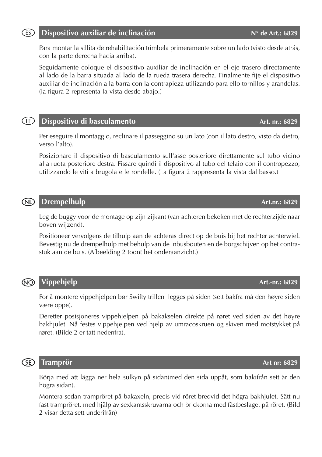### **Dispositivo auxiliar de inclinación N°** de Art.: 6829 (ES)

Para montar la sillita de rehabilitación túmbela primeramente sobre un lado (visto desde atrás, con la parte derecha hacia arriba).

Seguidamente coloque el dispositivo auxiliar de inclinación en el eje trasero directamente al lado de la barra situada al lado de la rueda trasera derecha. Finalmente fije el dispositivo auxiliar de inclinación a la barra con la contrapieza utilizando para ello tornillos y arandelas. (la figura 2 representa la vista desde abajo.)

### **Dispositivo di basculamento Art. nr.: 6829**  $(T)$

Per eseguire il montaggio, reclinare il passeggino su un lato (con il lato destro, visto da dietro, verso l'alto).

Posizionare il dispositivo di basculamento sull'asse posteriore direttamente sul tubo vicino alla ruota posteriore destra. Fissare quindi il dispositivo al tubo del telaio con il contropezzo, utilizzando le viti a brugola e le rondelle. (La figura 2 rappresenta la vista dal basso.)

## **Drempelhulp Art.nr.: 6829** (NL)

Leg de buggy voor de montage op zijn zijkant (van achteren bekeken met de rechterzijde naar boven wijzend).

Positioneer vervolgens de tilhulp aan de achteras direct op de buis bij het rechter achterwiel. Bevestig nu de drempelhulp met behulp van de inbusbouten en de borgschijven op het contrastuk aan de buis. (Afbeelding 2 toont het onderaanzicht.)

## **Vippehjelp Art.-nr.: 6829** ഌ

For å montere vippehjelpen bør Swifty trillen legges på siden (sett bakfra må den høyre siden være oppe).

Deretter posisjoneres vippehjelpen på bakakselen direkte på røret ved siden av det høyre bakhjulet. Nå festes vippehjelpen ved hjelp av umracoskruen og skiven med motstykket på røret. (Bilde 2 er tatt nedenfra).

## **®**

Börja med att lägga ner hela sulkyn på sidan(med den sida uppåt, som bakifrån sett är den högra sidan).

Montera sedan trampröret på bakaxeln, precis vid röret bredvid det högra bakhjulet. Sätt nu fast trampröret, med hjälp av sexkantsskruvarna och brickorna med fästbeslaget på röret. (Bild 2 visar detta sett underifrån)

## **Tramprör Art nr: 6829**